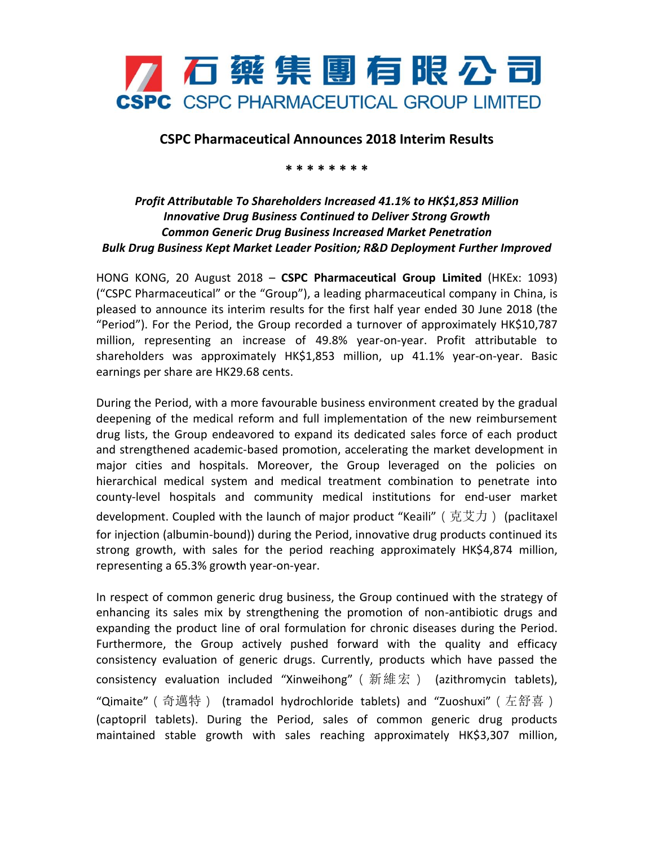

## **CSPC Pharmaceutical Announces 2018 Interim Results**

**\* \* \* \* \* \* \* \***

## *Profit Attributable To Shareholders Increased 41.1% to HK\$1,853 Million Innovative Drug Business Continued to Deliver Strong Growth Common Generic Drug Business Increased Market Penetration Bulk Drug Business Kept Market Leader Position; R&D Deployment Further Improved*

HONG KONG, 20 August 2018 – **CSPC Pharmaceutical Group Limited** (HKEx: 1093) ("CSPC Pharmaceutical" or the "Group"), a leading pharmaceutical company in China, is pleased to announce its interim results for the first half year ended 30 June 2018 (the "Period"). For the Period, the Group recorded a turnover of approximately HK\$10,787 million, representing an increase of 49.8% year-on-year. Profit attributable to shareholders was approximately HK\$1,853 million, up 41.1% year-on-year. Basic earnings per share are HK29.68 cents.

During the Period, with a more favourable business environment created by the gradual deepening of the medical reform and full implementation of the new reimbursement drug lists, the Group endeavored to expand its dedicated sales force of each product and strengthened academic-based promotion, accelerating the market development in major cities and hospitals. Moreover, the Group leveraged on the policies on hierarchical medical system and medical treatment combination to penetrate into county-level hospitals and community medical institutions for end-user market development. Coupled with the launch of major product "Keaili" ( 克艾力) (paclitaxel for injection (albumin-bound)) during the Period, innovative drug products continued its strong growth, with sales for the period reaching approximately HK\$4,874 million, representing a 65.3% growth year-on-year.

In respect of common generic drug business, the Group continued with the strategy of enhancing its sales mix by strengthening the promotion of non-antibiotic drugs and expanding the product line of oral formulation for chronic diseases during the Period. Furthermore, the Group actively pushed forward with the quality and efficacy consistency evaluation of generic drugs. Currently, products which have passed the consistency evaluation included "Xinweihong" (新維宏) (azithromycin tablets), "Qimaite"(奇邁特) (tramadol hydrochloride tablets) and "Zuoshuxi"(左舒喜) (captopril tablets). During the Period, sales of common generic drug products maintained stable growth with sales reaching approximately HK\$3,307 million,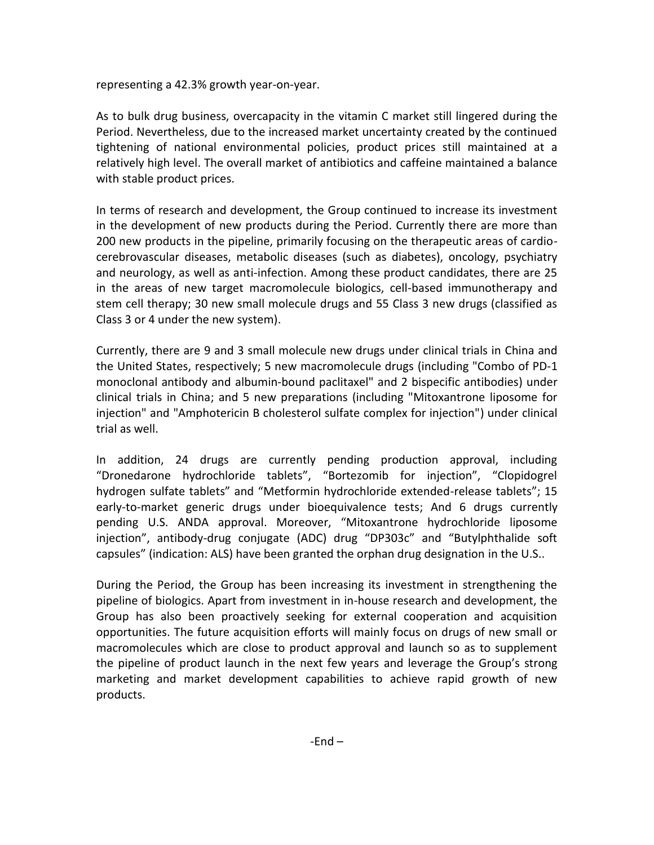representing a 42.3% growth year-on-year.

As to bulk drug business, overcapacity in the vitamin C market still lingered during the Period. Nevertheless, due to the increased market uncertainty created by the continued tightening of national environmental policies, product prices still maintained at a relatively high level. The overall market of antibiotics and caffeine maintained a balance with stable product prices.

In terms of research and development, the Group continued to increase its investment in the development of new products during the Period. Currently there are more than 200 new products in the pipeline, primarily focusing on the therapeutic areas of cardiocerebrovascular diseases, metabolic diseases (such as diabetes), oncology, psychiatry and neurology, as well as anti-infection. Among these product candidates, there are 25 in the areas of new target macromolecule biologics, cell-based immunotherapy and stem cell therapy; 30 new small molecule drugs and 55 Class 3 new drugs (classified as Class 3 or 4 under the new system).

Currently, there are 9 and 3 small molecule new drugs under clinical trials in China and the United States, respectively; 5 new macromolecule drugs (including "Combo of PD-1 monoclonal antibody and albumin-bound paclitaxel" and 2 bispecific antibodies) under clinical trials in China; and 5 new preparations (including "Mitoxantrone liposome for injection" and "Amphotericin B cholesterol sulfate complex for injection") under clinical trial as well.

In addition, 24 drugs are currently pending production approval, including "Dronedarone hydrochloride tablets", "Bortezomib for injection", "Clopidogrel hydrogen sulfate tablets" and "Metformin hydrochloride extended-release tablets"; 15 early-to-market generic drugs under bioequivalence tests; And 6 drugs currently pending U.S. ANDA approval. Moreover, "Mitoxantrone hydrochloride liposome injection", antibody-drug conjugate (ADC) drug "DP303c" and "Butylphthalide soft capsules" (indication: ALS) have been granted the orphan drug designation in the U.S..

During the Period, the Group has been increasing its investment in strengthening the pipeline of biologics. Apart from investment in in-house research and development, the Group has also been proactively seeking for external cooperation and acquisition opportunities. The future acquisition efforts will mainly focus on drugs of new small or macromolecules which are close to product approval and launch so as to supplement the pipeline of product launch in the next few years and leverage the Group's strong marketing and market development capabilities to achieve rapid growth of new products.